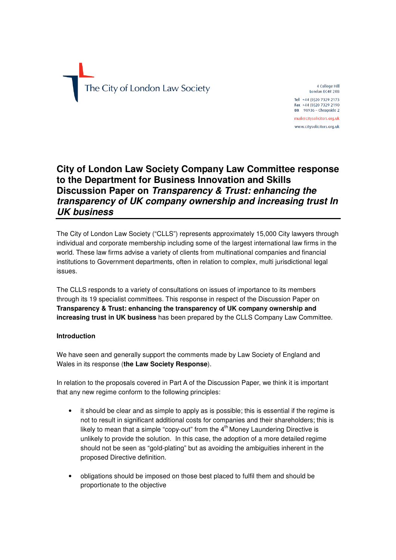# The City of London Law Society

4 College Hill London EC4R 2RB Tel +44 (0)20 7329 2173 Fax +44 (0)20 7329 2190 DX 98936 - Cheapside 2 mail@citysolicitors.org.uk www.citysolicitors.org.uk

# **City of London Law Society Company Law Committee response to the Department for Business Innovation and Skills Discussion Paper on** *Transparency & Trust: enhancing the transparency of UK company ownership and increasing trust In UK business*

The City of London Law Society ("CLLS") represents approximately 15,000 City lawyers through individual and corporate membership including some of the largest international law firms in the world. These law firms advise a variety of clients from multinational companies and financial institutions to Government departments, often in relation to complex, multi jurisdictional legal issues.

The CLLS responds to a variety of consultations on issues of importance to its members through its 19 specialist committees. This response in respect of the Discussion Paper on **Transparency & Trust: enhancing the transparency of UK company ownership and increasing trust in UK business** has been prepared by the CLLS Company Law Committee.

# **Introduction**

We have seen and generally support the comments made by Law Society of England and Wales in its response (**the Law Society Response**).

In relation to the proposals covered in Part A of the Discussion Paper, we think it is important that any new regime conform to the following principles:

- it should be clear and as simple to apply as is possible; this is essential if the regime is not to result in significant additional costs for companies and their shareholders; this is likely to mean that a simple "copy-out" from the  $4<sup>th</sup>$  Money Laundering Directive is unlikely to provide the solution. In this case, the adoption of a more detailed regime should not be seen as "gold-plating" but as avoiding the ambiguities inherent in the proposed Directive definition.
- obligations should be imposed on those best placed to fulfil them and should be proportionate to the objective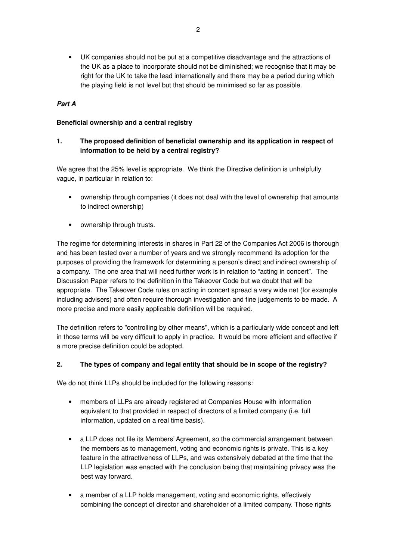• UK companies should not be put at a competitive disadvantage and the attractions of the UK as a place to incorporate should not be diminished; we recognise that it may be right for the UK to take the lead internationally and there may be a period during which the playing field is not level but that should be minimised so far as possible.

### *Part A*

### **Beneficial ownership and a central registry**

### **1. The proposed definition of beneficial ownership and its application in respect of information to be held by a central registry?**

We agree that the 25% level is appropriate. We think the Directive definition is unhelpfully vague, in particular in relation to:

- ownership through companies (it does not deal with the level of ownership that amounts to indirect ownership)
- ownership through trusts.

The regime for determining interests in shares in Part 22 of the Companies Act 2006 is thorough and has been tested over a number of years and we strongly recommend its adoption for the purposes of providing the framework for determining a person's direct and indirect ownership of a company. The one area that will need further work is in relation to "acting in concert". The Discussion Paper refers to the definition in the Takeover Code but we doubt that will be appropriate. The Takeover Code rules on acting in concert spread a very wide net (for example including advisers) and often require thorough investigation and fine judgements to be made. A more precise and more easily applicable definition will be required.

The definition refers to "controlling by other means", which is a particularly wide concept and left in those terms will be very difficult to apply in practice. It would be more efficient and effective if a more precise definition could be adopted.

### **2. The types of company and legal entity that should be in scope of the registry?**

We do not think LLPs should be included for the following reasons:

- members of LLPs are already registered at Companies House with information equivalent to that provided in respect of directors of a limited company (i.e. full information, updated on a real time basis).
- a LLP does not file its Members' Agreement, so the commercial arrangement between the members as to management, voting and economic rights is private. This is a key feature in the attractiveness of LLPs, and was extensively debated at the time that the LLP legislation was enacted with the conclusion being that maintaining privacy was the best way forward.
- a member of a LLP holds management, voting and economic rights, effectively combining the concept of director and shareholder of a limited company. Those rights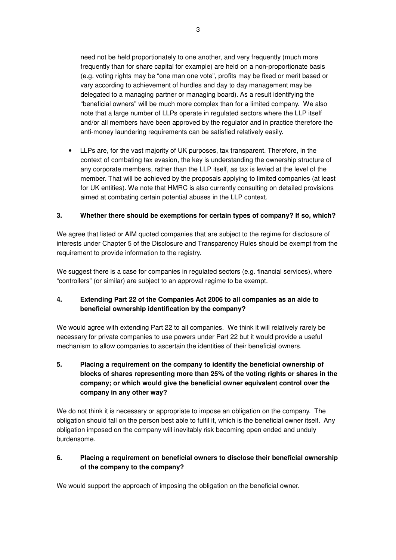need not be held proportionately to one another, and very frequently (much more frequently than for share capital for example) are held on a non-proportionate basis (e.g. voting rights may be "one man one vote", profits may be fixed or merit based or vary according to achievement of hurdles and day to day management may be delegated to a managing partner or managing board). As a result identifying the "beneficial owners" will be much more complex than for a limited company. We also note that a large number of LLPs operate in regulated sectors where the LLP itself and/or all members have been approved by the regulator and in practice therefore the anti-money laundering requirements can be satisfied relatively easily.

• LLPs are, for the vast majority of UK purposes, tax transparent. Therefore, in the context of combating tax evasion, the key is understanding the ownership structure of any corporate members, rather than the LLP itself, as tax is levied at the level of the member. That will be achieved by the proposals applying to limited companies (at least for UK entities). We note that HMRC is also currently consulting on detailed provisions aimed at combating certain potential abuses in the LLP context.

### **3. Whether there should be exemptions for certain types of company? If so, which?**

We agree that listed or AIM quoted companies that are subject to the regime for disclosure of interests under Chapter 5 of the Disclosure and Transparency Rules should be exempt from the requirement to provide information to the registry.

We suggest there is a case for companies in regulated sectors (e.g. financial services), where "controllers" (or similar) are subject to an approval regime to be exempt.

### **4. Extending Part 22 of the Companies Act 2006 to all companies as an aide to beneficial ownership identification by the company?**

We would agree with extending Part 22 to all companies. We think it will relatively rarely be necessary for private companies to use powers under Part 22 but it would provide a useful mechanism to allow companies to ascertain the identities of their beneficial owners.

**5. Placing a requirement on the company to identify the beneficial ownership of blocks of shares representing more than 25% of the voting rights or shares in the company; or which would give the beneficial owner equivalent control over the company in any other way?** 

We do not think it is necessary or appropriate to impose an obligation on the company. The obligation should fall on the person best able to fulfil it, which is the beneficial owner itself. Any obligation imposed on the company will inevitably risk becoming open ended and unduly burdensome.

### **6. Placing a requirement on beneficial owners to disclose their beneficial ownership of the company to the company?**

We would support the approach of imposing the obligation on the beneficial owner.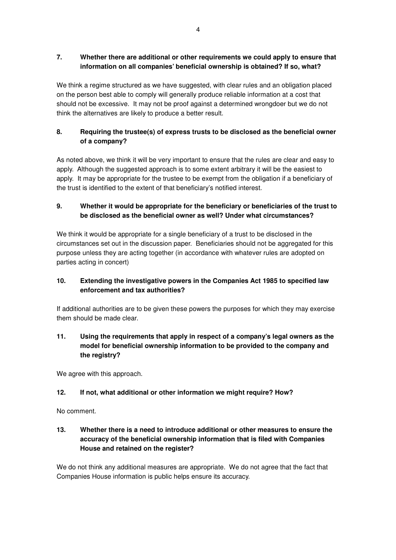# **7. Whether there are additional or other requirements we could apply to ensure that information on all companies' beneficial ownership is obtained? If so, what?**

We think a regime structured as we have suggested, with clear rules and an obligation placed on the person best able to comply will generally produce reliable information at a cost that should not be excessive. It may not be proof against a determined wrongdoer but we do not think the alternatives are likely to produce a better result.

# **8. Requiring the trustee(s) of express trusts to be disclosed as the beneficial owner of a company?**

As noted above, we think it will be very important to ensure that the rules are clear and easy to apply. Although the suggested approach is to some extent arbitrary it will be the easiest to apply. It may be appropriate for the trustee to be exempt from the obligation if a beneficiary of the trust is identified to the extent of that beneficiary's notified interest.

# **9. Whether it would be appropriate for the beneficiary or beneficiaries of the trust to be disclosed as the beneficial owner as well? Under what circumstances?**

We think it would be appropriate for a single beneficiary of a trust to be disclosed in the circumstances set out in the discussion paper. Beneficiaries should not be aggregated for this purpose unless they are acting together (in accordance with whatever rules are adopted on parties acting in concert)

# **10. Extending the investigative powers in the Companies Act 1985 to specified law enforcement and tax authorities?**

If additional authorities are to be given these powers the purposes for which they may exercise them should be made clear.

# **11. Using the requirements that apply in respect of a company's legal owners as the model for beneficial ownership information to be provided to the company and the registry?**

We agree with this approach.

# **12. If not, what additional or other information we might require? How?**

No comment.

# **13. Whether there is a need to introduce additional or other measures to ensure the accuracy of the beneficial ownership information that is filed with Companies House and retained on the register?**

We do not think any additional measures are appropriate. We do not agree that the fact that Companies House information is public helps ensure its accuracy.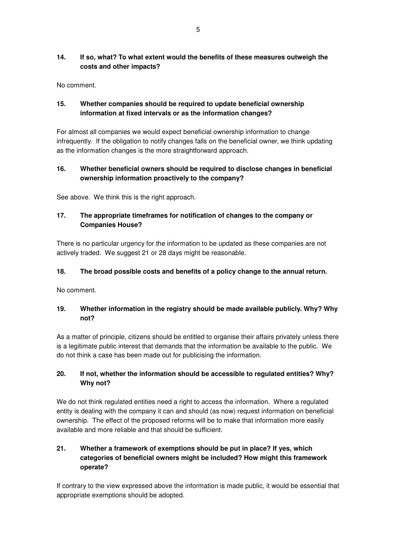# **14. If so, what? To what extent would the benefits of these measures outweigh the costs and other impacts?**

No comment.

# **15. Whether companies should be required to update beneficial ownership information at fixed intervals or as the information changes?**

For almost all companies we would expect beneficial ownership information to change infrequently. If the obligation to notify changes falls on the beneficial owner, we think updating as the information changes is the more straightforward approach.

# **16. Whether beneficial owners should be required to disclose changes in beneficial ownership information proactively to the company?**

See above. We think this is the right approach.

# **17. The appropriate timeframes for notification of changes to the company or Companies House?**

There is no particular urgency for the information to be updated as these companies are not actively traded. We suggest 21 or 28 days might be reasonable.

# **18. The broad possible costs and benefits of a policy change to the annual return.**

No comment.

# **19. Whether information in the registry should be made available publicly. Why? Why not?**

As a matter of principle, citizens should be entitled to organise their affairs privately unless there is a legitimate public interest that demands that the information be available to the public. We do not think a case has been made out for publicising the information.

# **20. If not, whether the information should be accessible to regulated entities? Why? Why not?**

We do not think regulated entities need a right to access the information. Where a regulated entity is dealing with the company it can and should (as now) request information on beneficial ownership. The effect of the proposed reforms will be to make that information more easily available and more reliable and that should be sufficient.

# **21. Whether a framework of exemptions should be put in place? If yes, which categories of beneficial owners might be included? How might this framework operate?**

If contrary to the view expressed above the information is made public, it would be essential that appropriate exemptions should be adopted.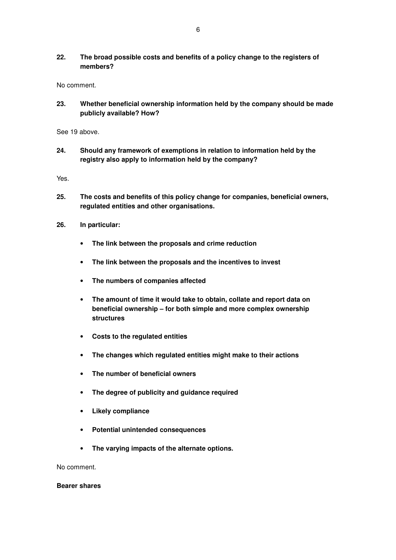# **22. The broad possible costs and benefits of a policy change to the registers of members?**

No comment.

**23. Whether beneficial ownership information held by the company should be made publicly available? How?** 

See 19 above.

**24. Should any framework of exemptions in relation to information held by the registry also apply to information held by the company?** 

Yes.

- **25. The costs and benefits of this policy change for companies, beneficial owners, regulated entities and other organisations.**
- **26. In particular:** 
	- **The link between the proposals and crime reduction**
	- **The link between the proposals and the incentives to invest**
	- **The numbers of companies affected**
	- **The amount of time it would take to obtain, collate and report data on beneficial ownership – for both simple and more complex ownership structures**
	- **Costs to the regulated entities**
	- **The changes which regulated entities might make to their actions**
	- **The number of beneficial owners**
	- **The degree of publicity and guidance required**
	- **Likely compliance**
	- **Potential unintended consequences**
	- **The varying impacts of the alternate options.**

No comment.

### **Bearer shares**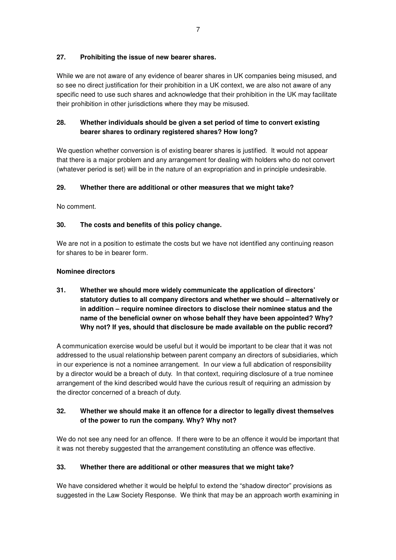# **27. Prohibiting the issue of new bearer shares.**

While we are not aware of any evidence of bearer shares in UK companies being misused, and so see no direct justification for their prohibition in a UK context, we are also not aware of any specific need to use such shares and acknowledge that their prohibition in the UK may facilitate their prohibition in other jurisdictions where they may be misused.

# **28. Whether individuals should be given a set period of time to convert existing bearer shares to ordinary registered shares? How long?**

We question whether conversion is of existing bearer shares is justified. It would not appear that there is a major problem and any arrangement for dealing with holders who do not convert (whatever period is set) will be in the nature of an expropriation and in principle undesirable.

# **29. Whether there are additional or other measures that we might take?**

No comment.

# **30. The costs and benefits of this policy change.**

We are not in a position to estimate the costs but we have not identified any continuing reason for shares to be in bearer form.

### **Nominee directors**

**31. Whether we should more widely communicate the application of directors' statutory duties to all company directors and whether we should – alternatively or in addition – require nominee directors to disclose their nominee status and the name of the beneficial owner on whose behalf they have been appointed? Why? Why not? If yes, should that disclosure be made available on the public record?** 

A communication exercise would be useful but it would be important to be clear that it was not addressed to the usual relationship between parent company an directors of subsidiaries, which in our experience is not a nominee arrangement. In our view a full abdication of responsibility by a director would be a breach of duty. In that context, requiring disclosure of a true nominee arrangement of the kind described would have the curious result of requiring an admission by the director concerned of a breach of duty.

# **32. Whether we should make it an offence for a director to legally divest themselves of the power to run the company. Why? Why not?**

We do not see any need for an offence. If there were to be an offence it would be important that it was not thereby suggested that the arrangement constituting an offence was effective.

# **33. Whether there are additional or other measures that we might take?**

We have considered whether it would be helpful to extend the "shadow director" provisions as suggested in the Law Society Response. We think that may be an approach worth examining in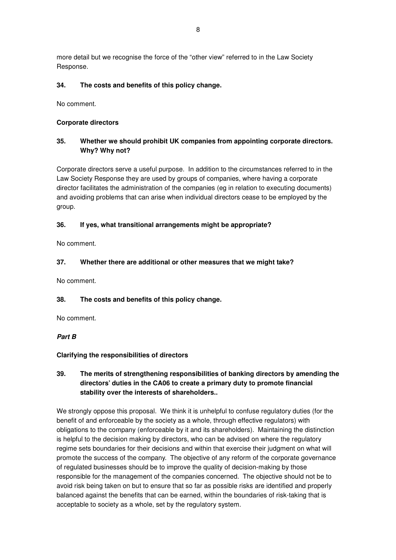more detail but we recognise the force of the "other view" referred to in the Law Society Response.

### **34. The costs and benefits of this policy change.**

No comment.

### **Corporate directors**

### **35. Whether we should prohibit UK companies from appointing corporate directors. Why? Why not?**

Corporate directors serve a useful purpose. In addition to the circumstances referred to in the Law Society Response they are used by groups of companies, where having a corporate director facilitates the administration of the companies (eg in relation to executing documents) and avoiding problems that can arise when individual directors cease to be employed by the group.

### **36. If yes, what transitional arrangements might be appropriate?**

No comment.

### **37. Whether there are additional or other measures that we might take?**

No comment.

### **38. The costs and benefits of this policy change.**

No comment.

*Part B* 

### **Clarifying the responsibilities of directors**

# **39. The merits of strengthening responsibilities of banking directors by amending the directors' duties in the CA06 to create a primary duty to promote financial stability over the interests of shareholders..**

We strongly oppose this proposal. We think it is unhelpful to confuse regulatory duties (for the benefit of and enforceable by the society as a whole, through effective regulators) with obligations to the company (enforceable by it and its shareholders). Maintaining the distinction is helpful to the decision making by directors, who can be advised on where the regulatory regime sets boundaries for their decisions and within that exercise their judgment on what will promote the success of the company. The objective of any reform of the corporate governance of regulated businesses should be to improve the quality of decision-making by those responsible for the management of the companies concerned. The objective should not be to avoid risk being taken on but to ensure that so far as possible risks are identified and properly balanced against the benefits that can be earned, within the boundaries of risk-taking that is acceptable to society as a whole, set by the regulatory system.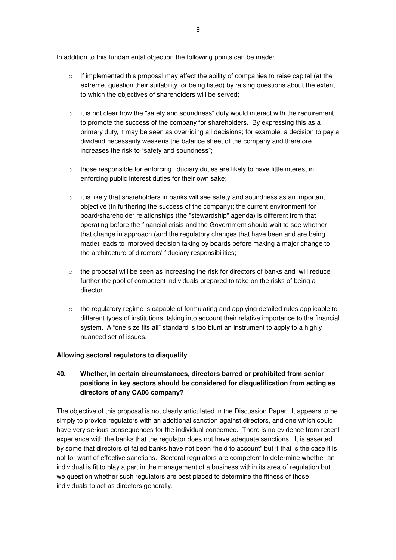In addition to this fundamental objection the following points can be made:

- $\circ$  if implemented this proposal may affect the ability of companies to raise capital (at the extreme, question their suitability for being listed) by raising questions about the extent to which the objectives of shareholders will be served;
- $\circ$  it is not clear how the "safety and soundness" duty would interact with the requirement to promote the success of the company for shareholders. By expressing this as a primary duty, it may be seen as overriding all decisions; for example, a decision to pay a dividend necessarily weakens the balance sheet of the company and therefore increases the risk to "safety and soundness";
- $\circ$  those responsible for enforcing fiduciary duties are likely to have little interest in enforcing public interest duties for their own sake;
- $\circ$  it is likely that shareholders in banks will see safety and soundness as an important objective (in furthering the success of the company); the current environment for board/shareholder relationships (the "stewardship" agenda) is different from that operating before the-financial crisis and the Government should wait to see whether that change in approach (and the regulatory changes that have been and are being made) leads to improved decision taking by boards before making a major change to the architecture of directors' fiduciary responsibilities;
- $\circ$  the proposal will be seen as increasing the risk for directors of banks and will reduce further the pool of competent individuals prepared to take on the risks of being a director.
- o the regulatory regime is capable of formulating and applying detailed rules applicable to different types of institutions, taking into account their relative importance to the financial system. A "one size fits all" standard is too blunt an instrument to apply to a highly nuanced set of issues.

### **Allowing sectoral regulators to disqualify**

# **40. Whether, in certain circumstances, directors barred or prohibited from senior positions in key sectors should be considered for disqualification from acting as directors of any CA06 company?**

The objective of this proposal is not clearly articulated in the Discussion Paper. It appears to be simply to provide regulators with an additional sanction against directors, and one which could have very serious consequences for the individual concerned. There is no evidence from recent experience with the banks that the regulator does not have adequate sanctions. It is asserted by some that directors of failed banks have not been "held to account" but if that is the case it is not for want of effective sanctions. Sectoral regulators are competent to determine whether an individual is fit to play a part in the management of a business within its area of regulation but we question whether such regulators are best placed to determine the fitness of those individuals to act as directors generally.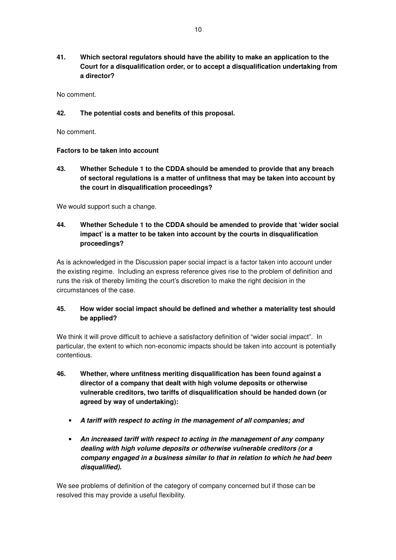**41. Which sectoral regulators should have the ability to make an application to the Court for a disqualification order, or to accept a disqualification undertaking from a director?** 

No comment.

### **42. The potential costs and benefits of this proposal.**

No comment.

### **Factors to be taken into account**

**43. Whether Schedule 1 to the CDDA should be amended to provide that any breach of sectoral regulations is a matter of unfitness that may be taken into account by the court in disqualification proceedings?** 

We would support such a change.

# **44. Whether Schedule 1 to the CDDA should be amended to provide that 'wider social impact' is a matter to be taken into account by the courts in disqualification proceedings?**

As is acknowledged in the Discussion paper social impact is a factor taken into account under the existing regime. Including an express reference gives rise to the problem of definition and runs the risk of thereby limiting the court's discretion to make the right decision in the circumstances of the case.

### **45. How wider social impact should be defined and whether a materiality test should be applied?**

We think it will prove difficult to achieve a satisfactory definition of "wider social impact". In particular, the extent to which non-economic impacts should be taken into account is potentially contentious.

- **46. Whether, where unfitness meriting disqualification has been found against a director of a company that dealt with high volume deposits or otherwise vulnerable creditors, two tariffs of disqualification should be handed down (or agreed by way of undertaking):** 
	- *A tariff with respect to acting in the management of all companies; and*
	- *An increased tariff with respect to acting in the management of any company dealing with high volume deposits or otherwise vulnerable creditors (or a company engaged in a business similar to that in relation to which he had been disqualified).*

We see problems of definition of the category of company concerned but if those can be resolved this may provide a useful flexibility.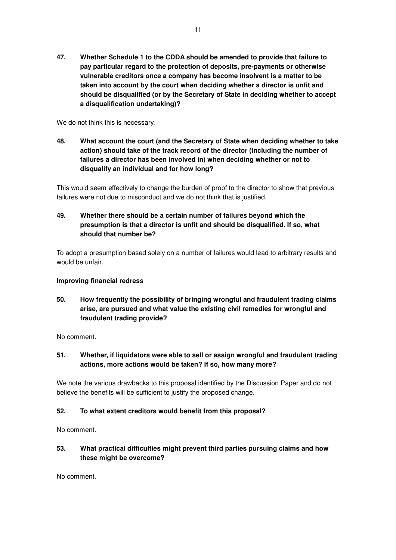**47. Whether Schedule 1 to the CDDA should be amended to provide that failure to pay particular regard to the protection of deposits, pre-payments or otherwise vulnerable creditors once a company has become insolvent is a matter to be taken into account by the court when deciding whether a director is unfit and should be disqualified (or by the Secretary of State in deciding whether to accept a disqualification undertaking)?** 

We do not think this is necessary.

**48. What account the court (and the Secretary of State when deciding whether to take action) should take of the track record of the director (including the number of failures a director has been involved in) when deciding whether or not to disqualify an individual and for how long?** 

This would seem effectively to change the burden of proof to the director to show that previous failures were not due to misconduct and we do not think that is justified.

# **49. Whether there should be a certain number of failures beyond which the presumption is that a director is unfit and should be disqualified. If so, what should that number be?**

To adopt a presumption based solely on a number of failures would lead to arbitrary results and would be unfair.

### **Improving financial redress**

**50. How frequently the possibility of bringing wrongful and fraudulent trading claims arise, are pursued and what value the existing civil remedies for wrongful and fraudulent trading provide?** 

No comment.

**51. Whether, if liquidators were able to sell or assign wrongful and fraudulent trading actions, more actions would be taken? If so, how many more?** 

We note the various drawbacks to this proposal identified by the Discussion Paper and do not believe the benefits will be sufficient to justify the proposed change.

### **52. To what extent creditors would benefit from this proposal?**

No comment.

# **53. What practical difficulties might prevent third parties pursuing claims and how these might be overcome?**

No comment.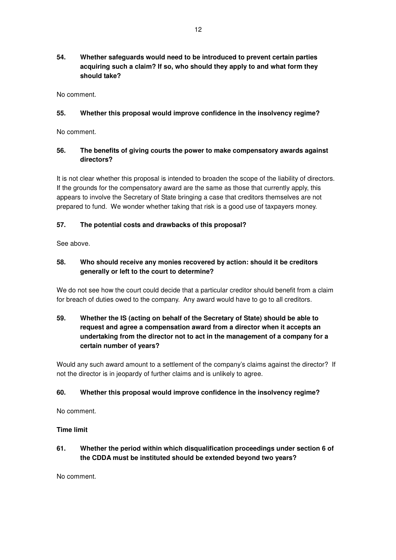**54. Whether safeguards would need to be introduced to prevent certain parties acquiring such a claim? If so, who should they apply to and what form they should take?** 

No comment.

### **55. Whether this proposal would improve confidence in the insolvency regime?**

No comment.

### **56. The benefits of giving courts the power to make compensatory awards against directors?**

It is not clear whether this proposal is intended to broaden the scope of the liability of directors. If the grounds for the compensatory award are the same as those that currently apply, this appears to involve the Secretary of State bringing a case that creditors themselves are not prepared to fund. We wonder whether taking that risk is a good use of taxpayers money.

### **57. The potential costs and drawbacks of this proposal?**

See above.

# **58. Who should receive any monies recovered by action: should it be creditors generally or left to the court to determine?**

We do not see how the court could decide that a particular creditor should benefit from a claim for breach of duties owed to the company. Any award would have to go to all creditors.

# **59. Whether the IS (acting on behalf of the Secretary of State) should be able to request and agree a compensation award from a director when it accepts an undertaking from the director not to act in the management of a company for a certain number of years?**

Would any such award amount to a settlement of the company's claims against the director? If not the director is in jeopardy of further claims and is unlikely to agree.

### **60. Whether this proposal would improve confidence in the insolvency regime?**

No comment.

### **Time limit**

# **61. Whether the period within which disqualification proceedings under section 6 of the CDDA must be instituted should be extended beyond two years?**

No comment.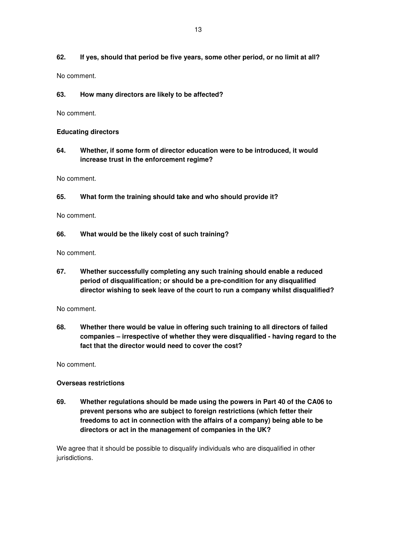# **62. If yes, should that period be five years, some other period, or no limit at all?**

No comment.

### **63. How many directors are likely to be affected?**

No comment.

### **Educating directors**

**64. Whether, if some form of director education were to be introduced, it would increase trust in the enforcement regime?** 

No comment.

**65. What form the training should take and who should provide it?** 

No comment.

**66. What would be the likely cost of such training?** 

No comment.

**67. Whether successfully completing any such training should enable a reduced period of disqualification; or should be a pre-condition for any disqualified director wishing to seek leave of the court to run a company whilst disqualified?** 

No comment.

**68. Whether there would be value in offering such training to all directors of failed companies – irrespective of whether they were disqualified - having regard to the fact that the director would need to cover the cost?** 

No comment.

### **Overseas restrictions**

**69. Whether regulations should be made using the powers in Part 40 of the CA06 to prevent persons who are subject to foreign restrictions (which fetter their freedoms to act in connection with the affairs of a company) being able to be directors or act in the management of companies in the UK?** 

We agree that it should be possible to disqualify individuals who are disqualified in other jurisdictions.